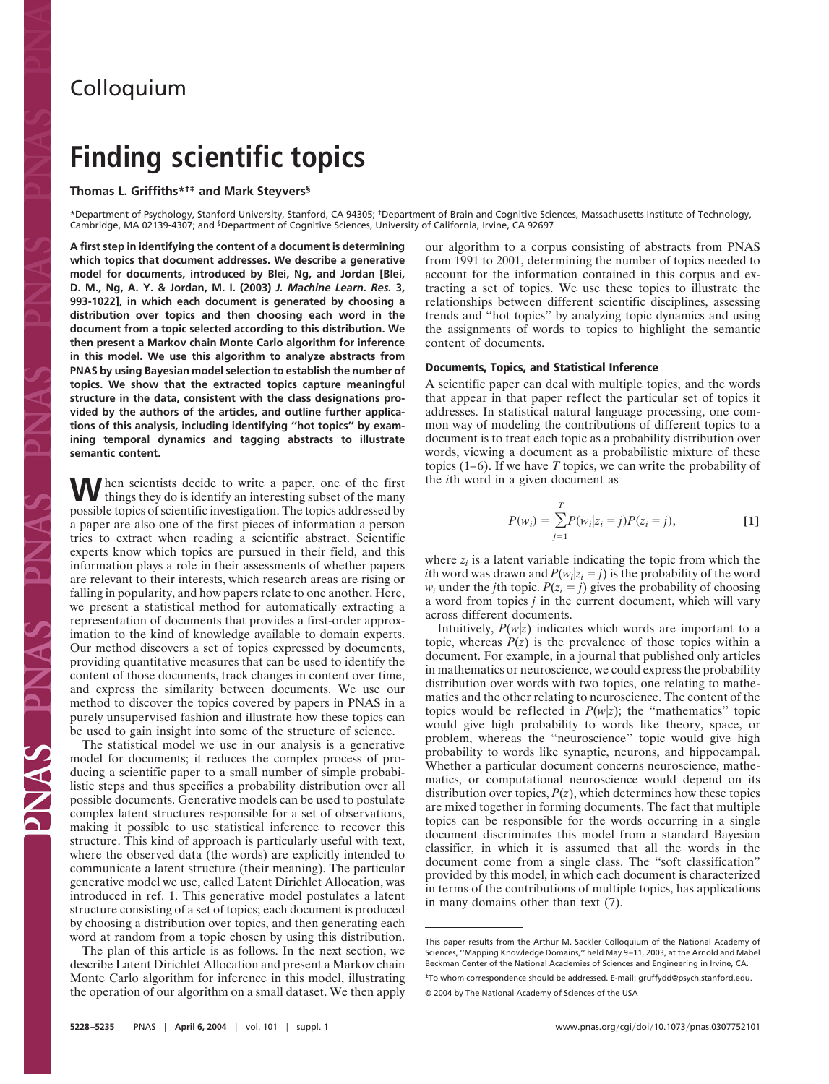# **Colloquium**

# **Finding scientific topics**

# **Thomas L. Griffiths\*†‡ and Mark Steyvers§**

\*Department of Psychology, Stanford University, Stanford, CA 94305; †Department of Brain and Cognitive Sciences, Massachusetts Institute of Technology, Cambridge, MA 02139-4307; and §Department of Cognitive Sciences, University of California, Irvine, CA 92697

**A first step in identifying the content of a document is determining which topics that document addresses. We describe a generative model for documents, introduced by Blei, Ng, and Jordan [Blei, D. M., Ng, A. Y. & Jordan, M. I. (2003)** *J. Machine Learn. Res.* **3, 993-1022], in which each document is generated by choosing a distribution over topics and then choosing each word in the document from a topic selected according to this distribution. We then present a Markov chain Monte Carlo algorithm for inference in this model. We use this algorithm to analyze abstracts from PNAS by using Bayesian model selection to establish the number of topics. We show that the extracted topics capture meaningful structure in the data, consistent with the class designations provided by the authors of the articles, and outline further applications of this analysis, including identifying ''hot topics'' by examining temporal dynamics and tagging abstracts to illustrate semantic content.**

When scientists decide to write a paper, one of the first things they do is identify an interesting subset of the many possible topics of scientific investigation. The topics addressed by a paper are also one of the first pieces of information a person tries to extract when reading a scientific abstract. Scientific experts know which topics are pursued in their field, and this information plays a role in their assessments of whether papers are relevant to their interests, which research areas are rising or falling in popularity, and how papers relate to one another. Here, we present a statistical method for automatically extracting a representation of documents that provides a first-order approximation to the kind of knowledge available to domain experts. Our method discovers a set of topics expressed by documents, providing quantitative measures that can be used to identify the content of those documents, track changes in content over time, and express the similarity between documents. We use our method to discover the topics covered by papers in PNAS in a purely unsupervised fashion and illustrate how these topics can be used to gain insight into some of the structure of science.

The statistical model we use in our analysis is a generative model for documents; it reduces the complex process of producing a scientific paper to a small number of simple probabilistic steps and thus specifies a probability distribution over all possible documents. Generative models can be used to postulate complex latent structures responsible for a set of observations, making it possible to use statistical inference to recover this structure. This kind of approach is particularly useful with text, where the observed data (the words) are explicitly intended to communicate a latent structure (their meaning). The particular generative model we use, called Latent Dirichlet Allocation, was introduced in ref. 1. This generative model postulates a latent structure consisting of a set of topics; each document is produced by choosing a distribution over topics, and then generating each word at random from a topic chosen by using this distribution.

The plan of this article is as follows. In the next section, we describe Latent Dirichlet Allocation and present a Markov chain Monte Carlo algorithm for inference in this model, illustrating the operation of our algorithm on a small dataset. We then apply our algorithm to a corpus consisting of abstracts from PNAS from 1991 to 2001, determining the number of topics needed to account for the information contained in this corpus and extracting a set of topics. We use these topics to illustrate the relationships between different scientific disciplines, assessing trends and ''hot topics'' by analyzing topic dynamics and using the assignments of words to topics to highlight the semantic content of documents.

### **Documents, Topics, and Statistical Inference**

A scientific paper can deal with multiple topics, and the words that appear in that paper reflect the particular set of topics it addresses. In statistical natural language processing, one common way of modeling the contributions of different topics to a document is to treat each topic as a probability distribution over words, viewing a document as a probabilistic mixture of these topics (1–6). If we have *T* topics, we can write the probability of the *i*th word in a given document as

$$
P(w_i) = \sum_{j=1}^{T} P(w_i | z_i = j) P(z_i = j),
$$
 [1]

where  $z_i$  is a latent variable indicating the topic from which the *i*th word was drawn and  $P(w_i|z_i = j)$  is the probability of the word  $w_i$  under the *j*th topic.  $P(z_i = j)$  gives the probability of choosing a word from topics *j* in the current document, which will vary across different documents.

Intuitively,  $P(w|z)$  indicates which words are important to a topic, whereas  $P(z)$  is the prevalence of those topics within a document. For example, in a journal that published only articles in mathematics or neuroscience, we could express the probability distribution over words with two topics, one relating to mathematics and the other relating to neuroscience. The content of the topics would be reflected in  $P(w|z)$ ; the "mathematics" topic would give high probability to words like theory, space, or problem, whereas the ''neuroscience'' topic would give high probability to words like synaptic, neurons, and hippocampal. Whether a particular document concerns neuroscience, mathematics, or computational neuroscience would depend on its distribution over topics,  $P(z)$ , which determines how these topics are mixed together in forming documents. The fact that multiple topics can be responsible for the words occurring in a single document discriminates this model from a standard Bayesian classifier, in which it is assumed that all the words in the document come from a single class. The ''soft classification'' provided by this model, in which each document is characterized in terms of the contributions of multiple topics, has applications in many domains other than text (7).

This paper results from the Arthur M. Sackler Colloquium of the National Academy of Sciences, ''Mapping Knowledge Domains,'' held May 9–11, 2003, at the Arnold and Mabel Beckman Center of the National Academies of Sciences and Engineering in Irvine, CA.

<sup>‡</sup>To whom correspondence should be addressed. E-mail: gruffydd@psych.stanford.edu.

<sup>© 2004</sup> by The National Academy of Sciences of the USA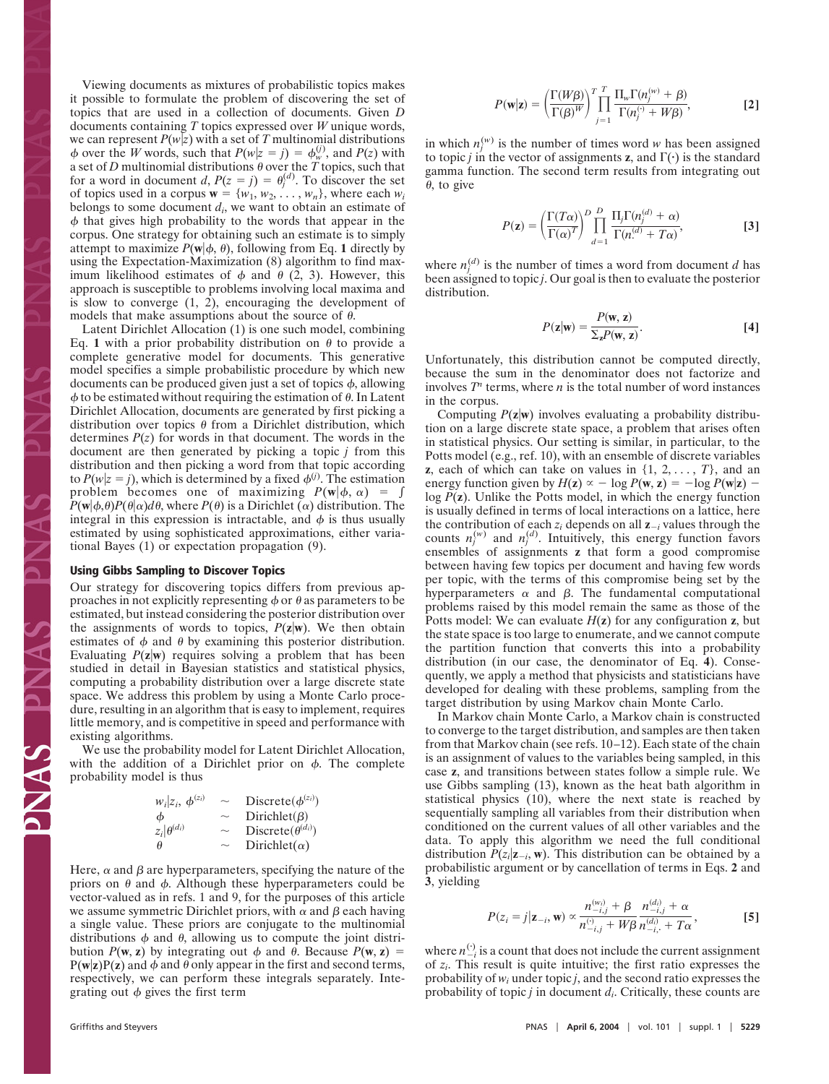Viewing documents as mixtures of probabilistic topics makes it possible to formulate the problem of discovering the set of topics that are used in a collection of documents. Given *D* documents containing *T* topics expressed over *W* unique words, we can represent  $P(w|z)$  with a set of T multinomial distributions  $\phi$  over the *W* words, such that  $P(w|z = j) = \phi_w^{(j)}$ , and  $P(z)$  with a set of *D* multinomial distributions  $\theta$  over the *T* topics, such that for a word in document *d*,  $P(z = j) = \theta_j^{(d)}$ . To discover the set of topics used in a corpus  $\mathbf{w} = \{w_1, w_2, \dots, w_n\}$ , where each  $w_i$ belongs to some document *di*, we want to obtain an estimate of  $\phi$  that gives high probability to the words that appear in the corpus. One strategy for obtaining such an estimate is to simply attempt to maximize  $P(\mathbf{w}|\phi, \theta)$ , following from Eq. 1 directly by using the Expectation-Maximization (8) algorithm to find maximum likelihood estimates of  $\phi$  and  $\theta$  (2, 3). However, this approach is susceptible to problems involving local maxima and is slow to converge (1, 2), encouraging the development of models that make assumptions about the source of  $\theta$ .

Latent Dirichlet Allocation (1) is one such model, combining Eq. 1 with a prior probability distribution on  $\theta$  to provide a complete generative model for documents. This generative model specifies a simple probabilistic procedure by which new documents can be produced given just a set of topics  $\phi$ , allowing  $\phi$  to be estimated without requiring the estimation of  $\theta$ . In Latent Dirichlet Allocation, documents are generated by first picking a distribution over topics  $\theta$  from a Dirichlet distribution, which determines  $P(z)$  for words in that document. The words in the document are then generated by picking a topic *j* from this distribution and then picking a word from that topic according to  $P(w|z = j)$ , which is determined by a fixed  $\phi^{(j)}$ . The estimation problem becomes one of maximizing  $P(\mathbf{w}|\phi, \alpha) = \int$  $P(\mathbf{w}|\phi,\theta)P(\theta|\alpha)d\theta$ , where  $P(\theta)$  is a Dirichlet ( $\alpha$ ) distribution. The integral in this expression is intractable, and  $\phi$  is thus usually estimated by using sophisticated approximations, either variational Bayes (1) or expectation propagation (9).

#### **Using Gibbs Sampling to Discover Topics**

Our strategy for discovering topics differs from previous approaches in not explicitly representing  $\phi$  or  $\theta$  as parameters to be estimated, but instead considering the posterior distribution over the assignments of words to topics,  $P(z|w)$ . We then obtain estimates of  $\phi$  and  $\theta$  by examining this posterior distribution. Evaluating  $P(z|w)$  requires solving a problem that has been studied in detail in Bayesian statistics and statistical physics, computing a probability distribution over a large discrete state space. We address this problem by using a Monte Carlo procedure, resulting in an algorithm that is easy to implement, requires little memory, and is competitive in speed and performance with existing algorithms.

We use the probability model for Latent Dirichlet Allocation, with the addition of a Dirichlet prior on  $\phi$ . The complete probability model is thus

| $w_i z_i, \phi^{(z_i)}$ | $\sim$ | Discrete $(\phi^{(z_i)})$   |
|-------------------------|--------|-----------------------------|
| φ                       | $\sim$ | Dirichlet( $\beta$ )        |
| $z_i \theta^{(d_i)}$    | $\sim$ | Discrete $(\theta^{(d_i)})$ |
| θ                       | $\sim$ | Dirichlet( $\alpha$ )       |

Here,  $\alpha$  and  $\beta$  are hyperparameters, specifying the nature of the priors on  $\theta$  and  $\phi$ . Although these hyperparameters could be vector-valued as in refs. 1 and 9, for the purposes of this article we assume symmetric Dirichlet priors, with  $\alpha$  and  $\beta$  each having a single value. These priors are conjugate to the multinomial distributions  $\phi$  and  $\theta$ , allowing us to compute the joint distribution  $P(\mathbf{w}, \mathbf{z})$  by integrating out  $\phi$  and  $\theta$ . Because  $P(\mathbf{w}, \mathbf{z}) =$  $P(w|z)P(z)$  and  $\phi$  and  $\theta$  only appear in the first and second terms, respectively, we can perform these integrals separately. Integrating out  $\phi$  gives the first term

in which  $n_j^{(w)}$  is the number of times word *w* has been assigned to topic *j* in the vector of assignments **z**, and  $\Gamma(\cdot)$  is the standard gamma function. The second term results from integrating out  $\theta$ , to give

$$
P(\mathbf{z}) = \left(\frac{\Gamma(T\alpha)}{\Gamma(\alpha)^{T}}\right)^{D} \prod_{d=1}^{D} \frac{\prod_{j} \Gamma(n_{j}^{(d)} + \alpha)}{\Gamma(n_{j}^{(d)} + T\alpha)},
$$
 [3]

where  $n_j^{(d)}$  is the number of times a word from document *d* has been assigned to topic *j*. Our goal is then to evaluate the posterior distribution.

$$
P(\mathbf{z}|\mathbf{w}) = \frac{P(\mathbf{w}, \mathbf{z})}{\sum_{\mathbf{z}} P(\mathbf{w}, \mathbf{z})}.
$$
 [4]

Unfortunately, this distribution cannot be computed directly, because the sum in the denominator does not factorize and involves  $T^n$  terms, where *n* is the total number of word instances in the corpus.

Computing  $P(z|w)$  involves evaluating a probability distribution on a large discrete state space, a problem that arises often in statistical physics. Our setting is similar, in particular, to the Potts model (e.g., ref. 10), with an ensemble of discrete variables **z**, each of which can take on values in  $\{1, 2, \ldots, T\}$ , and an energy function given by  $H(z) \propto -\log P(w, z) = -\log P(w|z)$ log *P*(**z**). Unlike the Potts model, in which the energy function is usually defined in terms of local interactions on a lattice, here the contribution of each  $z_i$  depends on all  $z_i$  values through the counts  $n_j^{(w)}$  and  $n_j^{(d)}$ . Intuitively, this energy function favors ensembles of assignments **z** that form a good compromise between having few topics per document and having few words per topic, with the terms of this compromise being set by the hyperparameters  $\alpha$  and  $\beta$ . The fundamental computational problems raised by this model remain the same as those of the Potts model: We can evaluate  $H(z)$  for any configuration  $z$ , but the state space is too large to enumerate, and we cannot compute the partition function that converts this into a probability distribution (in our case, the denominator of Eq. **4**). Consequently, we apply a method that physicists and statisticians have developed for dealing with these problems, sampling from the target distribution by using Markov chain Monte Carlo.

In Markov chain Monte Carlo, a Markov chain is constructed to converge to the target distribution, and samples are then taken from that Markov chain (see refs. 10–12). Each state of the chain is an assignment of values to the variables being sampled, in this case **z**, and transitions between states follow a simple rule. We use Gibbs sampling (13), known as the heat bath algorithm in statistical physics (10), where the next state is reached by sequentially sampling all variables from their distribution when conditioned on the current values of all other variables and the data. To apply this algorithm we need the full conditional distribution  $P(z_i | z_{-i}, w)$ . This distribution can be obtained by a probabilistic argument or by cancellation of terms in Eqs. **2** and **3**, yielding

$$
P(z_i = j | \mathbf{z}_{-i}, \mathbf{w}) \propto \frac{n_{-i,j}^{(w_i)} + \beta}{n_{-i,j}^{(i)} + W\beta} \frac{n_{-i,j}^{(d_i)} + \alpha}{n_{-i,j}^{(d_i)} + T\alpha},
$$
 [5]

where  $n_{-i}^{(t)}$  is a count that does not include the current assignment of *zi*. This result is quite intuitive; the first ratio expresses the probability of *wi* under topic *j*, and the second ratio expresses the probability of topic *j* in document *di*. Critically, these counts are

PNAS PN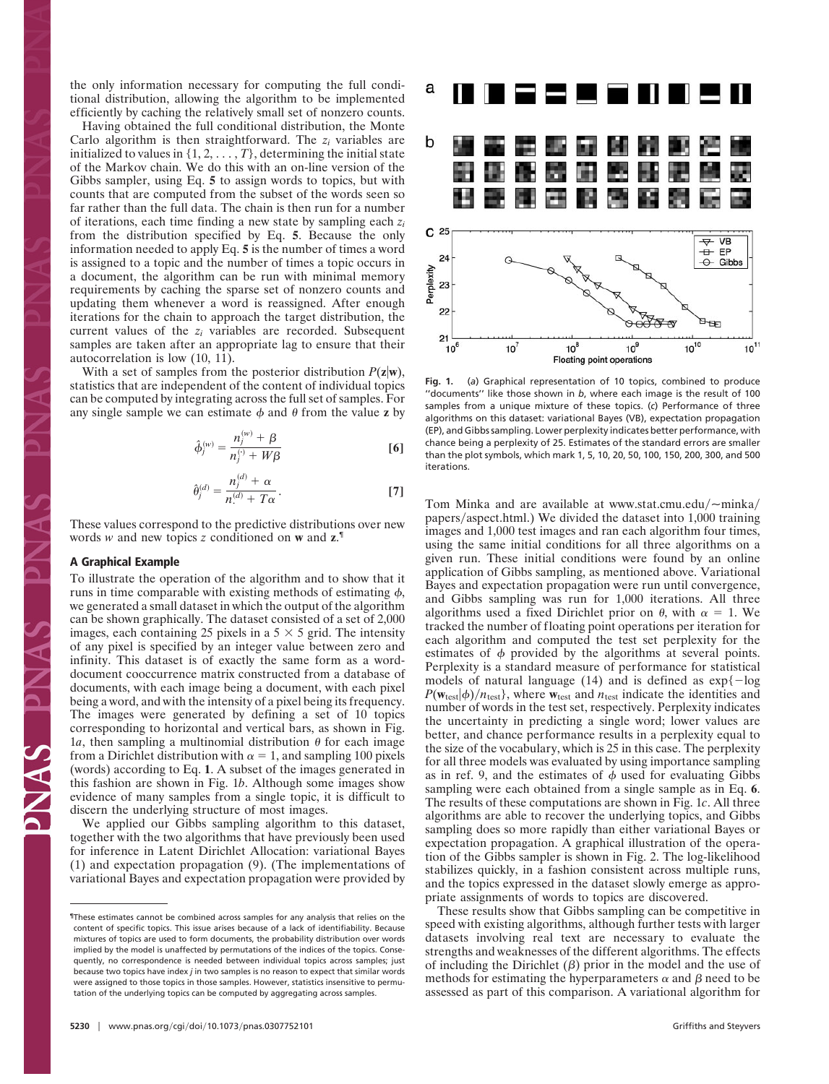the only information necessary for computing the full conditional distribution, allowing the algorithm to be implemented efficiently by caching the relatively small set of nonzero counts.

Having obtained the full conditional distribution, the Monte Carlo algorithm is then straightforward. The *zi* variables are initialized to values in  $\{1, 2, \ldots, T\}$ , determining the initial state of the Markov chain. We do this with an on-line version of the Gibbs sampler, using Eq. **5** to assign words to topics, but with counts that are computed from the subset of the words seen so far rather than the full data. The chain is then run for a number of iterations, each time finding a new state by sampling each *zi* from the distribution specified by Eq. **5**. Because the only information needed to apply Eq. **5** is the number of times a word is assigned to a topic and the number of times a topic occurs in a document, the algorithm can be run with minimal memory requirements by caching the sparse set of nonzero counts and updating them whenever a word is reassigned. After enough iterations for the chain to approach the target distribution, the current values of the *zi* variables are recorded. Subsequent samples are taken after an appropriate lag to ensure that their autocorrelation is low (10, 11).

With a set of samples from the posterior distribution  $P(z|w)$ , statistics that are independent of the content of individual topics can be computed by integrating across the full set of samples. For any single sample we can estimate  $\phi$  and  $\theta$  from the value **z** by

$$
\hat{\phi}_j^{(w)} = \frac{n_j^{(w)} + \beta}{n_j^{(v)} + W\beta}
$$
 [6]

$$
\hat{\theta}_j^{(d)} = \frac{n_j^{(d)} + \alpha}{n^{(d)} + T\alpha}.
$$
 [7]

These values correspond to the predictive distributions over new words *w* and new topics *z* conditioned on **w** and **z**. ¶

#### **A Graphical Example**

To illustrate the operation of the algorithm and to show that it runs in time comparable with existing methods of estimating  $\phi$ , we generated a small dataset in which the output of the algorithm can be shown graphically. The dataset consisted of a set of 2,000 images, each containing 25 pixels in a  $5 \times 5$  grid. The intensity of any pixel is specified by an integer value between zero and infinity. This dataset is of exactly the same form as a worddocument cooccurrence matrix constructed from a database of documents, with each image being a document, with each pixel being a word, and with the intensity of a pixel being its frequency. The images were generated by defining a set of 10 topics corresponding to horizontal and vertical bars, as shown in Fig. 1*a*, then sampling a multinomial distribution  $\theta$  for each image from a Dirichlet distribution with  $\alpha = 1$ , and sampling 100 pixels (words) according to Eq. **1**. A subset of the images generated in this fashion are shown in Fig. 1*b*. Although some images show evidence of many samples from a single topic, it is difficult to discern the underlying structure of most images.

We applied our Gibbs sampling algorithm to this dataset, together with the two algorithms that have previously been used for inference in Latent Dirichlet Allocation: variational Bayes (1) and expectation propagation (9). (The implementations of variational Bayes and expectation propagation were provided by



**Fig. 1.** (*a*) Graphical representation of 10 topics, combined to produce ''documents'' like those shown in *b*, where each image is the result of 100 samples from a unique mixture of these topics. (*c*) Performance of three algorithms on this dataset: variational Bayes (VB), expectation propagation (EP), and Gibbs sampling. Lower perplexity indicates better performance, with chance being a perplexity of 25. Estimates of the standard errors are smaller than the plot symbols, which mark 1, 5, 10, 20, 50, 100, 150, 200, 300, and 500 iterations.

Tom Minka and are available at www.stat.cmu.edu/ $\sim$ minka/ papers/aspect.html.) We divided the dataset into 1,000 training images and 1,000 test images and ran each algorithm four times, using the same initial conditions for all three algorithms on a given run. These initial conditions were found by an online application of Gibbs sampling, as mentioned above. Variational Bayes and expectation propagation were run until convergence, and Gibbs sampling was run for 1,000 iterations. All three algorithms used a fixed Dirichlet prior on  $\theta$ , with  $\alpha = 1$ . We tracked the number of floating point operations per iteration for each algorithm and computed the test set perplexity for the estimates of  $\phi$  provided by the algorithms at several points. Perplexity is a standard measure of performance for statistical models of natural language (14) and is defined as  $\exp\{-\log \theta\}$  $P(\mathbf{w}_{test}|\boldsymbol{\phi})/n_{test}$ , where  $\mathbf{w}_{test}$  and  $n_{test}$  indicate the identities and number of words in the test set, respectively. Perplexity indicates the uncertainty in predicting a single word; lower values are better, and chance performance results in a perplexity equal to the size of the vocabulary, which is 25 in this case. The perplexity for all three models was evaluated by using importance sampling as in ref. 9, and the estimates of  $\phi$  used for evaluating Gibbs sampling were each obtained from a single sample as in Eq. **6**. The results of these computations are shown in Fig. 1*c*. All three algorithms are able to recover the underlying topics, and Gibbs sampling does so more rapidly than either variational Bayes or expectation propagation. A graphical illustration of the operation of the Gibbs sampler is shown in Fig. 2. The log-likelihood stabilizes quickly, in a fashion consistent across multiple runs, and the topics expressed in the dataset slowly emerge as appropriate assignments of words to topics are discovered.

These results show that Gibbs sampling can be competitive in speed with existing algorithms, although further tests with larger datasets involving real text are necessary to evaluate the strengths and weaknesses of the different algorithms. The effects of including the Dirichlet  $(\beta)$  prior in the model and the use of methods for estimating the hyperparameters  $\alpha$  and  $\beta$  need to be assessed as part of this comparison. A variational algorithm for

<sup>¶</sup>These estimates cannot be combined across samples for any analysis that relies on the content of specific topics. This issue arises because of a lack of identifiability. Because mixtures of topics are used to form documents, the probability distribution over words implied by the model is unaffected by permutations of the indices of the topics. Consequently, no correspondence is needed between individual topics across samples; just because two topics have index *j* in two samples is no reason to expect that similar words were assigned to those topics in those samples. However, statistics insensitive to permutation of the underlying topics can be computed by aggregating across samples.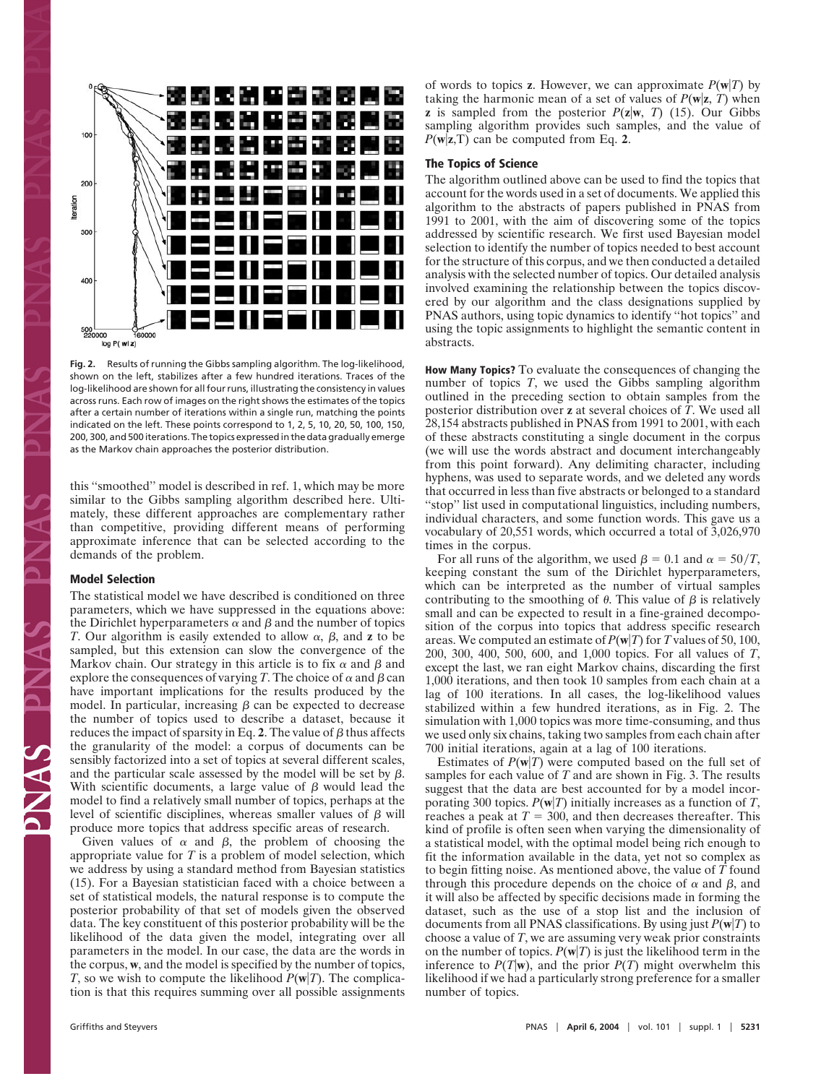

**Fig. 2.** Results of running the Gibbs sampling algorithm. The log-likelihood, shown on the left, stabilizes after a few hundred iterations. Traces of the log-likelihood are shown for all four runs, illustrating the consistency in values across runs. Each row of images on the right shows the estimates of the topics after a certain number of iterations within a single run, matching the points indicated on the left. These points correspond to 1, 2, 5, 10, 20, 50, 100, 150, 200, 300, and 500 iterations. The topics expressed in the data gradually emerge as the Markov chain approaches the posterior distribution.

this ''smoothed'' model is described in ref. 1, which may be more similar to the Gibbs sampling algorithm described here. Ultimately, these different approaches are complementary rather than competitive, providing different means of performing approximate inference that can be selected according to the demands of the problem.

#### **Model Selection**

The statistical model we have described is conditioned on three parameters, which we have suppressed in the equations above: the Dirichlet hyperparameters  $\alpha$  and  $\beta$  and the number of topics *T*. Our algorithm is easily extended to allow  $\alpha$ ,  $\beta$ , and **z** to be sampled, but this extension can slow the convergence of the Markov chain. Our strategy in this article is to fix  $\alpha$  and  $\beta$  and explore the consequences of varying *T*. The choice of  $\alpha$  and  $\beta$  can have important implications for the results produced by the model. In particular, increasing  $\beta$  can be expected to decrease the number of topics used to describe a dataset, because it reduces the impact of sparsity in Eq. 2. The value of  $\beta$  thus affects the granularity of the model: a corpus of documents can be sensibly factorized into a set of topics at several different scales, and the particular scale assessed by the model will be set by  $\beta$ . With scientific documents, a large value of  $\beta$  would lead the model to find a relatively small number of topics, perhaps at the level of scientific disciplines, whereas smaller values of  $\beta$  will produce more topics that address specific areas of research.

Given values of  $\alpha$  and  $\beta$ , the problem of choosing the appropriate value for *T* is a problem of model selection, which we address by using a standard method from Bayesian statistics (15). For a Bayesian statistician faced with a choice between a set of statistical models, the natural response is to compute the posterior probability of that set of models given the observed data. The key constituent of this posterior probability will be the likelihood of the data given the model, integrating over all parameters in the model. In our case, the data are the words in the corpus, **w**, and the model is specified by the number of topics, *T*, so we wish to compute the likelihood  $P(w|T)$ . The complication is that this requires summing over all possible assignments

of words to topics **z**. However, we can approximate  $P(w|T)$  by taking the harmonic mean of a set of values of  $P(\mathbf{w}|\mathbf{z}, T)$  when **z** is sampled from the posterior  $P(z|w, T)$  (15). Our Gibbs sampling algorithm provides such samples, and the value of  $P(\mathbf{w}|\mathbf{z},\mathbf{T})$  can be computed from Eq. 2.

## **The Topics of Science**

The algorithm outlined above can be used to find the topics that account for the words used in a set of documents. We applied this algorithm to the abstracts of papers published in PNAS from 1991 to 2001, with the aim of discovering some of the topics addressed by scientific research. We first used Bayesian model selection to identify the number of topics needed to best account for the structure of this corpus, and we then conducted a detailed analysis with the selected number of topics. Our detailed analysis involved examining the relationship between the topics discovered by our algorithm and the class designations supplied by PNAS authors, using topic dynamics to identify ''hot topics'' and using the topic assignments to highlight the semantic content in abstracts.

**How Many Topics?** To evaluate the consequences of changing the number of topics *T*, we used the Gibbs sampling algorithm outlined in the preceding section to obtain samples from the posterior distribution over **z** at several choices of *T*. We used all 28,154 abstracts published in PNAS from 1991 to 2001, with each of these abstracts constituting a single document in the corpus (we will use the words abstract and document interchangeably from this point forward). Any delimiting character, including hyphens, was used to separate words, and we deleted any words that occurred in less than five abstracts or belonged to a standard "stop" list used in computational linguistics, including numbers, individual characters, and some function words. This gave us a vocabulary of 20,551 words, which occurred a total of 3,026,970 times in the corpus.

For all runs of the algorithm, we used  $\beta = 0.1$  and  $\alpha = 50/T$ , keeping constant the sum of the Dirichlet hyperparameters, which can be interpreted as the number of virtual samples contributing to the smoothing of  $\theta$ . This value of  $\beta$  is relatively small and can be expected to result in a fine-grained decomposition of the corpus into topics that address specific research areas. We computed an estimate of  $P(w|T)$  for *T* values of 50, 100, 200, 300, 400, 500, 600, and 1,000 topics. For all values of *T*, except the last, we ran eight Markov chains, discarding the first 1,000 iterations, and then took 10 samples from each chain at a lag of 100 iterations. In all cases, the log-likelihood values stabilized within a few hundred iterations, as in Fig. 2. The simulation with 1,000 topics was more time-consuming, and thus we used only six chains, taking two samples from each chain after 700 initial iterations, again at a lag of 100 iterations.

Estimates of  $P(w|T)$  were computed based on the full set of samples for each value of *T* and are shown in Fig. 3. The results suggest that the data are best accounted for by a model incorporating 300 topics.  $P(w|T)$  initially increases as a function of *T*, reaches a peak at  $T = 300$ , and then decreases thereafter. This kind of profile is often seen when varying the dimensionality of a statistical model, with the optimal model being rich enough to fit the information available in the data, yet not so complex as to begin fitting noise. As mentioned above, the value of *T* found through this procedure depends on the choice of  $\alpha$  and  $\beta$ , and it will also be affected by specific decisions made in forming the dataset, such as the use of a stop list and the inclusion of documents from all PNAS classifications. By using just  $P(w|T)$  to choose a value of *T*, we are assuming very weak prior constraints on the number of topics.  $P(w|T)$  is just the likelihood term in the inference to  $P(T|\mathbf{w})$ , and the prior  $P(T)$  might overwhelm this likelihood if we had a particularly strong preference for a smaller number of topics.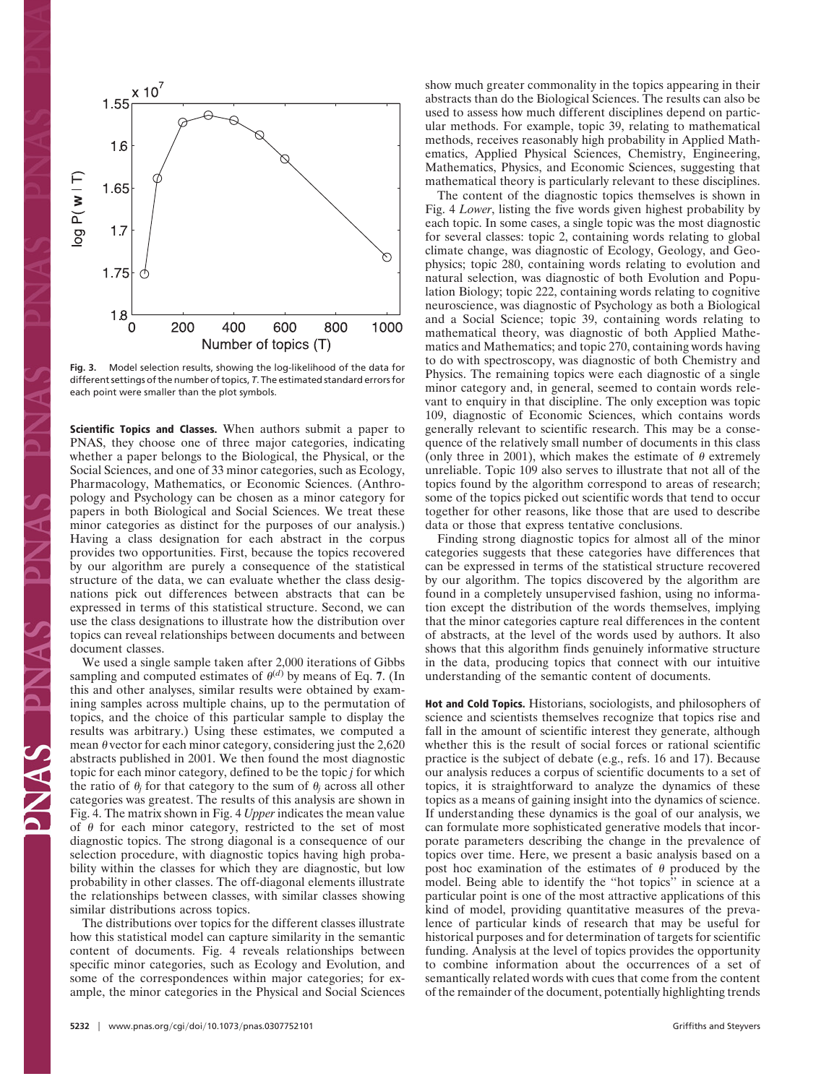

**Fig. 3.** Model selection results, showing the log-likelihood of the data for different settings of the number of topics, *T*. The estimated standard errors for each point were smaller than the plot symbols.

**Scientific Topics and Classes.** When authors submit a paper to PNAS, they choose one of three major categories, indicating whether a paper belongs to the Biological, the Physical, or the Social Sciences, and one of 33 minor categories, such as Ecology, Pharmacology, Mathematics, or Economic Sciences. (Anthropology and Psychology can be chosen as a minor category for papers in both Biological and Social Sciences. We treat these minor categories as distinct for the purposes of our analysis.) Having a class designation for each abstract in the corpus provides two opportunities. First, because the topics recovered by our algorithm are purely a consequence of the statistical structure of the data, we can evaluate whether the class designations pick out differences between abstracts that can be expressed in terms of this statistical structure. Second, we can use the class designations to illustrate how the distribution over topics can reveal relationships between documents and between document classes.

We used a single sample taken after 2,000 iterations of Gibbs sampling and computed estimates of  $\theta^{(d)}$  by means of Eq. 7. (In this and other analyses, similar results were obtained by examining samples across multiple chains, up to the permutation of topics, and the choice of this particular sample to display the results was arbitrary.) Using these estimates, we computed a mean  $\theta$  vector for each minor category, considering just the 2,620 abstracts published in 2001. We then found the most diagnostic topic for each minor category, defined to be the topic *j* for which the ratio of  $\theta_j$  for that category to the sum of  $\theta_j$  across all other categories was greatest. The results of this analysis are shown in Fig. 4. The matrix shown in Fig. 4 *Upper* indicates the mean value of  $\theta$  for each minor category, restricted to the set of most diagnostic topics. The strong diagonal is a consequence of our selection procedure, with diagnostic topics having high probability within the classes for which they are diagnostic, but low probability in other classes. The off-diagonal elements illustrate the relationships between classes, with similar classes showing similar distributions across topics.

The distributions over topics for the different classes illustrate how this statistical model can capture similarity in the semantic content of documents. Fig. 4 reveals relationships between specific minor categories, such as Ecology and Evolution, and some of the correspondences within major categories; for example, the minor categories in the Physical and Social Sciences

**5232** | www.pnas.org/cgi/doi/10.1073/pnas.0307752101 Griffiths and Steyvers

show much greater commonality in the topics appearing in their abstracts than do the Biological Sciences. The results can also be used to assess how much different disciplines depend on particular methods. For example, topic 39, relating to mathematical methods, receives reasonably high probability in Applied Mathematics, Applied Physical Sciences, Chemistry, Engineering, Mathematics, Physics, and Economic Sciences, suggesting that mathematical theory is particularly relevant to these disciplines.

The content of the diagnostic topics themselves is shown in Fig. 4 *Lower*, listing the five words given highest probability by each topic. In some cases, a single topic was the most diagnostic for several classes: topic 2, containing words relating to global climate change, was diagnostic of Ecology, Geology, and Geophysics; topic 280, containing words relating to evolution and natural selection, was diagnostic of both Evolution and Population Biology; topic 222, containing words relating to cognitive neuroscience, was diagnostic of Psychology as both a Biological and a Social Science; topic 39, containing words relating to mathematical theory, was diagnostic of both Applied Mathematics and Mathematics; and topic 270, containing words having to do with spectroscopy, was diagnostic of both Chemistry and Physics. The remaining topics were each diagnostic of a single minor category and, in general, seemed to contain words relevant to enquiry in that discipline. The only exception was topic 109, diagnostic of Economic Sciences, which contains words generally relevant to scientific research. This may be a consequence of the relatively small number of documents in this class (only three in 2001), which makes the estimate of  $\theta$  extremely unreliable. Topic 109 also serves to illustrate that not all of the topics found by the algorithm correspond to areas of research; some of the topics picked out scientific words that tend to occur together for other reasons, like those that are used to describe data or those that express tentative conclusions.

Finding strong diagnostic topics for almost all of the minor categories suggests that these categories have differences that can be expressed in terms of the statistical structure recovered by our algorithm. The topics discovered by the algorithm are found in a completely unsupervised fashion, using no information except the distribution of the words themselves, implying that the minor categories capture real differences in the content of abstracts, at the level of the words used by authors. It also shows that this algorithm finds genuinely informative structure in the data, producing topics that connect with our intuitive understanding of the semantic content of documents.

**Hot and Cold Topics.** Historians, sociologists, and philosophers of science and scientists themselves recognize that topics rise and fall in the amount of scientific interest they generate, although whether this is the result of social forces or rational scientific practice is the subject of debate (e.g., refs. 16 and 17). Because our analysis reduces a corpus of scientific documents to a set of topics, it is straightforward to analyze the dynamics of these topics as a means of gaining insight into the dynamics of science. If understanding these dynamics is the goal of our analysis, we can formulate more sophisticated generative models that incorporate parameters describing the change in the prevalence of topics over time. Here, we present a basic analysis based on a post hoc examination of the estimates of  $\theta$  produced by the model. Being able to identify the ''hot topics'' in science at a particular point is one of the most attractive applications of this kind of model, providing quantitative measures of the prevalence of particular kinds of research that may be useful for historical purposes and for determination of targets for scientific funding. Analysis at the level of topics provides the opportunity to combine information about the occurrences of a set of semantically related words with cues that come from the content of the remainder of the document, potentially highlighting trends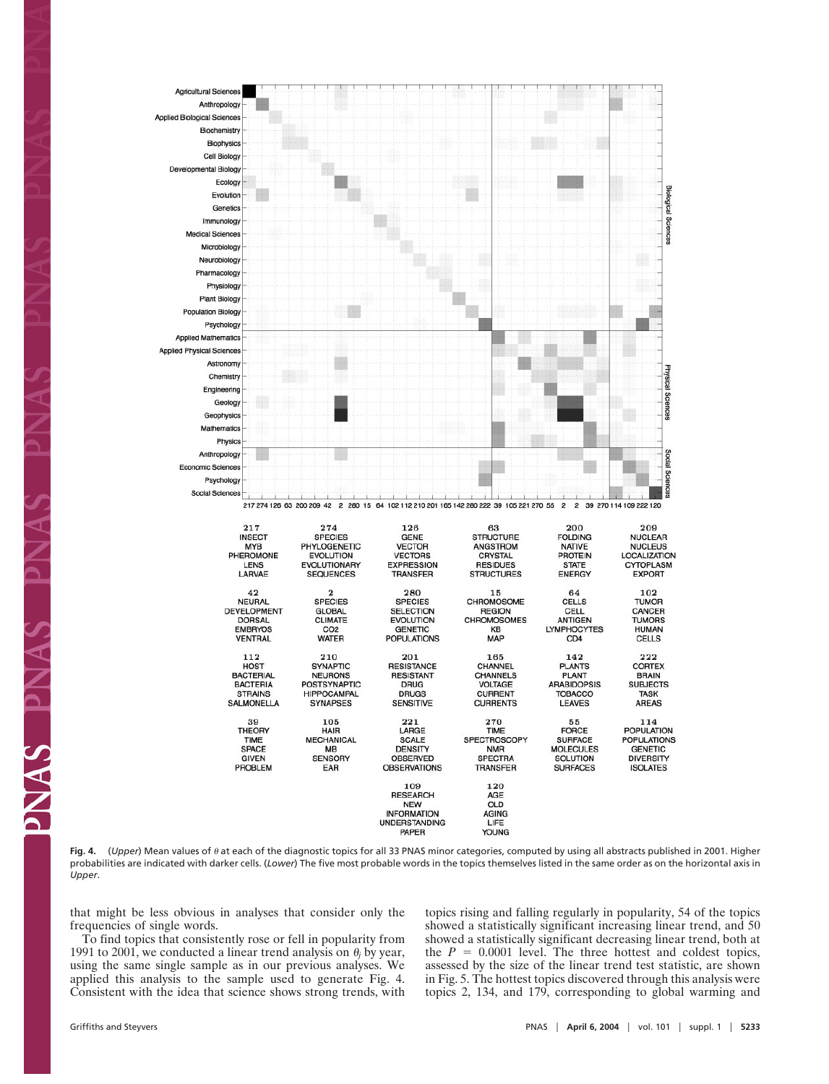

Fig. 4. (*Upper*) Mean values of  $\theta$  at each of the diagnostic topics for all 33 PNAS minor categories, computed by using all abstracts published in 2001. Higher probabilities are indicated with darker cells. (*Lower*) The five most probable words in the topics themselves listed in the same order as on the horizontal axis in *Upper*.

that might be less obvious in analyses that consider only the frequencies of single words.

To find topics that consistently rose or fell in popularity from 1991 to 2001, we conducted a linear trend analysis on  $\theta_i$  by year, using the same single sample as in our previous analyses. We applied this analysis to the sample used to generate Fig. 4. Consistent with the idea that science shows strong trends, with topics rising and falling regularly in popularity, 54 of the topics showed a statistically significant increasing linear trend, and 50 showed a statistically significant decreasing linear trend, both at the  $P = 0.0001$  level. The three hottest and coldest topics, assessed by the size of the linear trend test statistic, are shown in Fig. 5. The hottest topics discovered through this analysis were topics 2, 134, and 179, corresponding to global warming and

**EXAMP**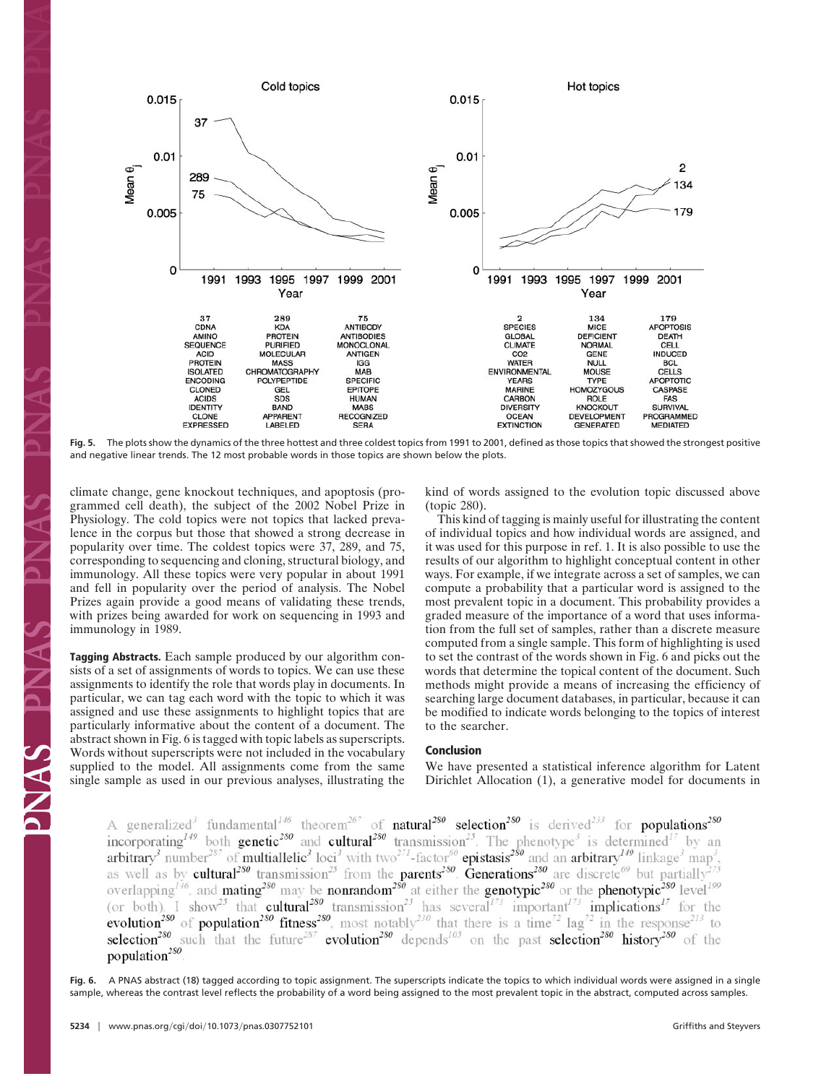

**Fig. 5.** The plots show the dynamics of the three hottest and three coldest topics from 1991 to 2001, defined as those topics that showed the strongest positive and negative linear trends. The 12 most probable words in those topics are shown below the plots.

climate change, gene knockout techniques, and apoptosis (programmed cell death), the subject of the 2002 Nobel Prize in Physiology. The cold topics were not topics that lacked prevalence in the corpus but those that showed a strong decrease in popularity over time. The coldest topics were 37, 289, and 75, corresponding to sequencing and cloning, structural biology, and immunology. All these topics were very popular in about 1991 and fell in popularity over the period of analysis. The Nobel Prizes again provide a good means of validating these trends, with prizes being awarded for work on sequencing in 1993 and immunology in 1989.

**Tagging Abstracts.** Each sample produced by our algorithm consists of a set of assignments of words to topics. We can use these assignments to identify the role that words play in documents. In particular, we can tag each word with the topic to which it was assigned and use these assignments to highlight topics that are particularly informative about the content of a document. The abstract shown in Fig. 6 is tagged with topic labels as superscripts. Words without superscripts were not included in the vocabulary supplied to the model. All assignments come from the same single sample as used in our previous analyses, illustrating the kind of words assigned to the evolution topic discussed above (topic 280).

This kind of tagging is mainly useful for illustrating the content of individual topics and how individual words are assigned, and it was used for this purpose in ref. 1. It is also possible to use the results of our algorithm to highlight conceptual content in other ways. For example, if we integrate across a set of samples, we can compute a probability that a particular word is assigned to the most prevalent topic in a document. This probability provides a graded measure of the importance of a word that uses information from the full set of samples, rather than a discrete measure computed from a single sample. This form of highlighting is used to set the contrast of the words shown in Fig. 6 and picks out the words that determine the topical content of the document. Such methods might provide a means of increasing the efficiency of searching large document databases, in particular, because it can be modified to indicate words belonging to the topics of interest to the searcher.

# **Conclusion**

We have presented a statistical inference algorithm for Latent Dirichlet Allocation (1), a generative model for documents in

A generalized<sup>3</sup> fundamental<sup>146</sup> theorem<sup>267</sup> of **natural<sup>250</sup> selection<sup>250</sup>** is derived<sup>233</sup> for **populations<sup>250</sup>**<br>incorporating<sup>149</sup> both **genetic<sup>250</sup>** and **cultural<sup>250</sup>** transmission<sup>25</sup>. The phenotype<sup>3</sup> is deter population<sup>280</sup>

**Fig. 6.** A PNAS abstract (18) tagged according to topic assignment. The superscripts indicate the topics to which individual words were assigned in a single sample, whereas the contrast level reflects the probability of a word being assigned to the most prevalent topic in the abstract, computed across samples.